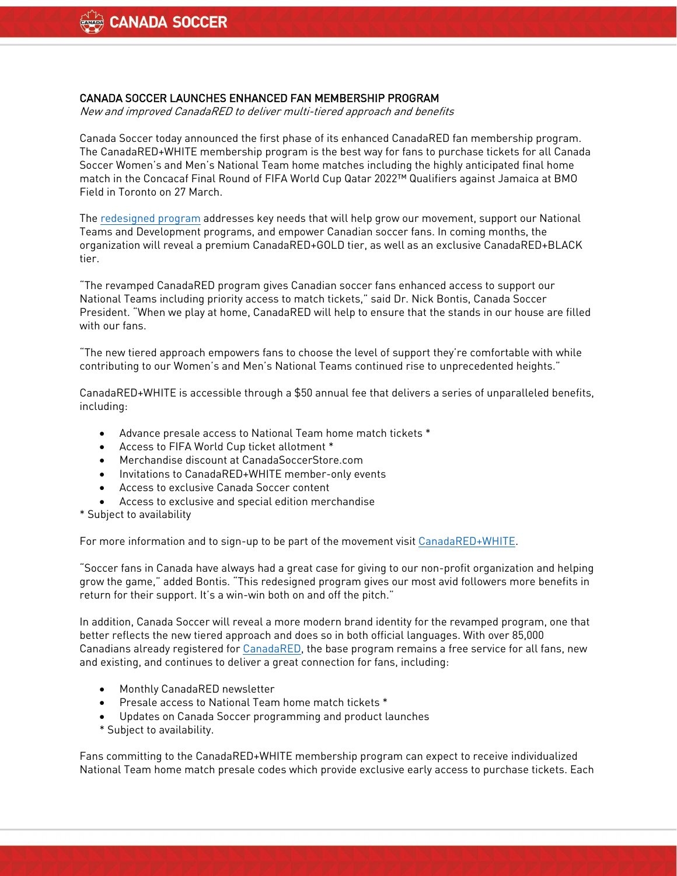## CANADA SOCCER LAUNCHES ENHANCED FAN MEMBERSHIP PROGRAM

New and improved CanadaRED to deliver multi-tiered approach and benefits

Canada Soccer today announced the first phase of its enhanced CanadaRED fan membership program. The CanadaRED+WHITE membership program is the best way for fans to purchase tickets for all Canada Soccer Women's and Men's National Team home matches including the highly anticipated final home match in the Concacaf Final Round of FIFA World Cup Qatar 2022™ Qualifiers against Jamaica at BMO Field in Toronto on 27 March.

The [redesigned](https://canada-soccer.myshopify.com/products/canadared-white) program addresses key needs that will help grow our movement, support our National Teams and Development programs, and empower Canadian soccer fans. In coming months, the organization will reveal a premium CanadaRED+GOLD tier, as well as an exclusive CanadaRED+BLACK tier.

"The revamped CanadaRED program gives Canadian soccer fans enhanced access to support our National Teams including priority access to match tickets," said Dr. Nick Bontis, Canada Soccer President. "When we play at home, CanadaRED will help to ensure that the stands in our house are filled with our fans.

"The new tiered approach empowers fans to choose the level of support they're comfortable with while contributing to our Women's and Men's National Teams continued rise to unprecedented heights."

CanadaRED+WHITE is accessible through a \$50 annual fee that delivers a series of unparalleled benefits, including:

- Advance presale access to National Team home match tickets \*
- Access to FIFA World Cup ticket allotment \*
- Merchandise discount at CanadaSoccerStore.com
- Invitations to CanadaRED+WHITE member-only events
- Access to exclusive Canada Soccer content
- Access to exclusive and special edition merchandise
- \* Subject to availability

For more information and to sign-up to be part of the movement visi[t CanadaRED+WHITE.](https://canada-soccer.myshopify.com/products/canadared-white)

"Soccer fans in Canada have always had a great case for giving to our non-profit organization and helping grow the game," added Bontis. "This redesigned program gives our most avid followers more benefits in return for their support. It's a win-win both on and off the pitch."

In addition, Canada Soccer will reveal a more modern brand identity for the revamped program, one that better reflects the new tiered approach and does so in both official languages. With over 85,000 Canadians already registered for [CanadaRED,](https://canadasoccer.com/canada-red-registration/) the base program remains a free service for all fans, new and existing, and continues to deliver a great connection for fans, including:

- Monthly CanadaRED newsletter
- Presale access to National Team home match tickets \*
- Updates on Canada Soccer programming and product launches
- \* Subject to availability.

Fans committing to the CanadaRED+WHITE membership program can expect to receive individualized National Team home match presale codes which provide exclusive early access to purchase tickets. Each